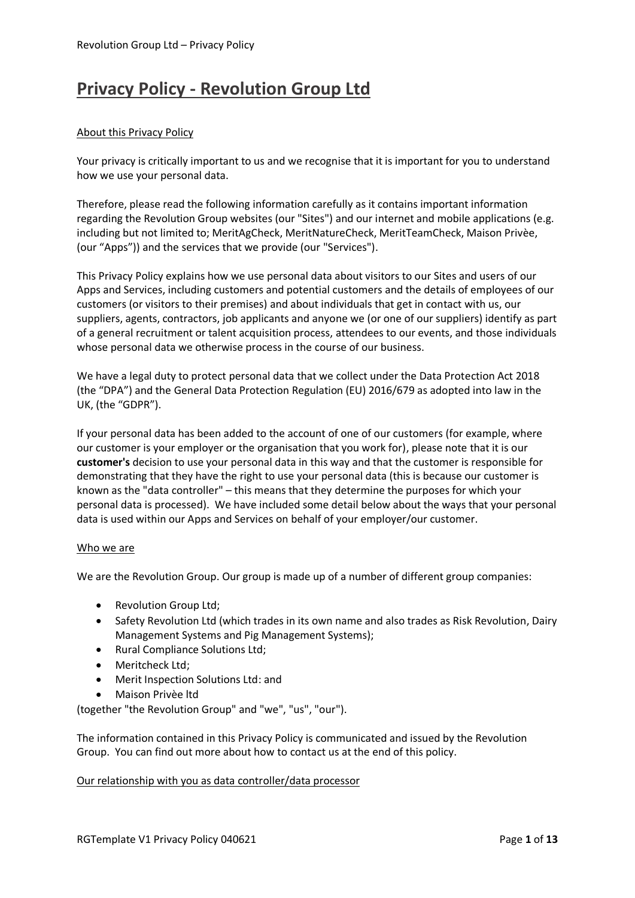# **Privacy Policy - Revolution Group Ltd**

# About this Privacy Policy

Your privacy is critically important to us and we recognise that it is important for you to understand how we use your personal data.

Therefore, please read the following information carefully as it contains important information regarding the Revolution Group websites (our "Sites") and our internet and mobile applications (e.g. including but not limited to; MeritAgCheck, MeritNatureCheck, MeritTeamCheck, Maison Privèe, (our "Apps")) and the services that we provide (our "Services").

This Privacy Policy explains how we use personal data about visitors to our Sites and users of our Apps and Services, including customers and potential customers and the details of employees of our customers (or visitors to their premises) and about individuals that get in contact with us, our suppliers, agents, contractors, job applicants and anyone we (or one of our suppliers) identify as part of a general recruitment or talent acquisition process, attendees to our events, and those individuals whose personal data we otherwise process in the course of our business.

We have a legal duty to protect personal data that we collect under the Data Protection Act 2018 (the "DPA") and the General Data Protection Regulation (EU) 2016/679 as adopted into law in the UK, (the "GDPR").

If your personal data has been added to the account of one of our customers (for example, where our customer is your employer or the organisation that you work for), please note that it is our **customer's** decision to use your personal data in this way and that the customer is responsible for demonstrating that they have the right to use your personal data (this is because our customer is known as the "data controller" – this means that they determine the purposes for which your personal data is processed). We have included some detail below about the ways that your personal data is used within our Apps and Services on behalf of your employer/our customer.

# Who we are

We are the Revolution Group. Our group is made up of a number of different group companies:

- Revolution Group Ltd;
- Safety Revolution Ltd (which trades in its own name and also trades as Risk Revolution, Dairy Management Systems and Pig Management Systems);
- Rural Compliance Solutions Ltd;
- Meritcheck Ltd:
- Merit Inspection Solutions Ltd: and
- Maison Privèe ltd

(together "the Revolution Group" and "we", "us", "our").

The information contained in this Privacy Policy is communicated and issued by the Revolution Group. You can find out more about how to contact us at the end of this policy.

# Our relationship with you as data controller/data processor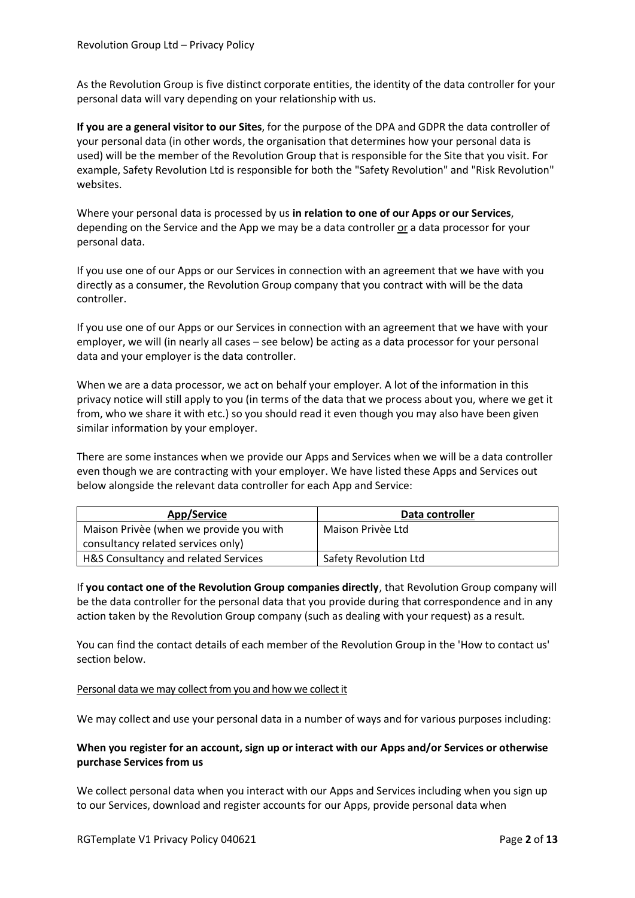As the Revolution Group is five distinct corporate entities, the identity of the data controller for your personal data will vary depending on your relationship with us.

**If you are a general visitor to our Sites**, for the purpose of the DPA and GDPR the data controller of your personal data (in other words, the organisation that determines how your personal data is used) will be the member of the Revolution Group that is responsible for the Site that you visit. For example, Safety Revolution Ltd is responsible for both the "Safety Revolution" and "Risk Revolution" websites.

Where your personal data is processed by us **in relation to one of our Apps or our Services**, depending on the Service and the App we may be a data controller or a data processor for your personal data.

If you use one of our Apps or our Services in connection with an agreement that we have with you directly as a consumer, the Revolution Group company that you contract with will be the data controller.

If you use one of our Apps or our Services in connection with an agreement that we have with your employer, we will (in nearly all cases – see below) be acting as a data processor for your personal data and your employer is the data controller.

When we are a data processor, we act on behalf your employer. A lot of the information in this privacy notice will still apply to you (in terms of the data that we process about you, where we get it from, who we share it with etc.) so you should read it even though you may also have been given similar information by your employer.

There are some instances when we provide our Apps and Services when we will be a data controller even though we are contracting with your employer. We have listed these Apps and Services out below alongside the relevant data controller for each App and Service:

| App/Service                             | Data controller       |
|-----------------------------------------|-----------------------|
| Maison Privèe (when we provide you with | Maison Privèe Ltd     |
| consultancy related services only)      |                       |
| H&S Consultancy and related Services    | Safety Revolution Ltd |

If **you contact one of the Revolution Group companies directly**, that Revolution Group company will be the data controller for the personal data that you provide during that correspondence and in any action taken by the Revolution Group company (such as dealing with your request) as a result.

You can find the contact details of each member of the Revolution Group in the 'How to contact us' section below.

Personal data we may collect from you and how we collect it

We may collect and use your personal data in a number of ways and for various purposes including:

# **When you register for an account, sign up or interact with our Apps and/or Services or otherwise purchase Services from us**

We collect personal data when you interact with our Apps and Services including when you sign up to our Services, download and register accounts for our Apps, provide personal data when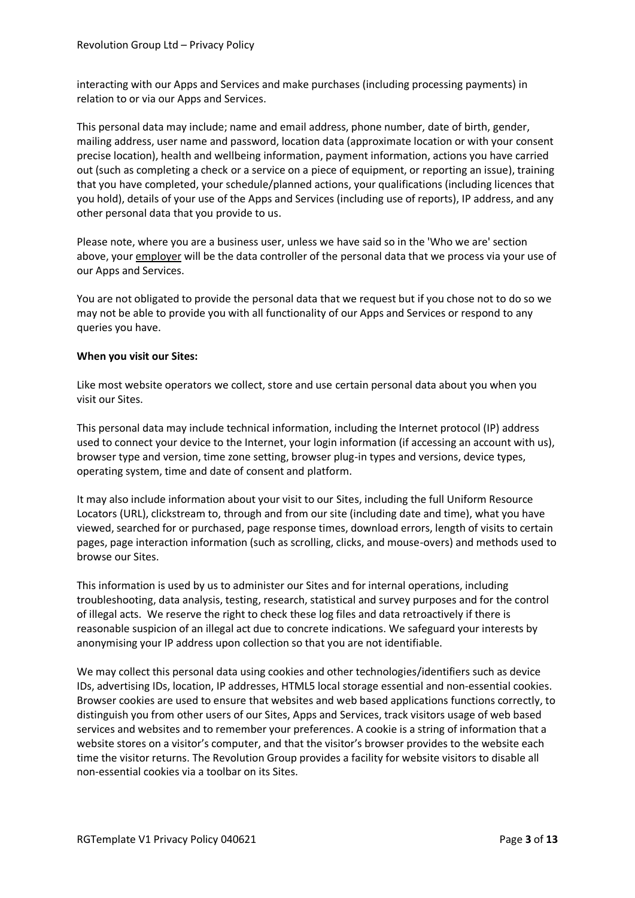interacting with our Apps and Services and make purchases (including processing payments) in relation to or via our Apps and Services.

This personal data may include; name and email address, phone number, date of birth, gender, mailing address, user name and password, location data (approximate location or with your consent precise location), health and wellbeing information, payment information, actions you have carried out (such as completing a check or a service on a piece of equipment, or reporting an issue), training that you have completed, your schedule/planned actions, your qualifications (including licences that you hold), details of your use of the Apps and Services (including use of reports), IP address, and any other personal data that you provide to us.

Please note, where you are a business user, unless we have said so in the 'Who we are' section above, your employer will be the data controller of the personal data that we process via your use of our Apps and Services.

You are not obligated to provide the personal data that we request but if you chose not to do so we may not be able to provide you with all functionality of our Apps and Services or respond to any queries you have.

# **When you visit our Sites:**

Like most website operators we collect, store and use certain personal data about you when you visit our Sites.

This personal data may include technical information, including the Internet protocol (IP) address used to connect your device to the Internet, your login information (if accessing an account with us), browser type and version, time zone setting, browser plug-in types and versions, device types, operating system, time and date of consent and platform.

It may also include information about your visit to our Sites, including the full Uniform Resource Locators (URL), clickstream to, through and from our site (including date and time), what you have viewed, searched for or purchased, page response times, download errors, length of visits to certain pages, page interaction information (such as scrolling, clicks, and mouse-overs) and methods used to browse our Sites.

This information is used by us to administer our Sites and for internal operations, including troubleshooting, data analysis, testing, research, statistical and survey purposes and for the control of illegal acts. We reserve the right to check these log files and data retroactively if there is reasonable suspicion of an illegal act due to concrete indications. We safeguard your interests by anonymising your IP address upon collection so that you are not identifiable.

We may collect this personal data using cookies and other technologies/identifiers such as device IDs, advertising IDs, location, IP addresses, HTML5 local storage essential and non-essential cookies. Browser cookies are used to ensure that websites and web based applications functions correctly, to distinguish you from other users of our Sites, Apps and Services, track visitors usage of web based services and websites and to remember your preferences. A cookie is a string of information that a website stores on a visitor's computer, and that the visitor's browser provides to the website each time the visitor returns. The Revolution Group provides a facility for website visitors to disable all non-essential cookies via a toolbar on its Sites.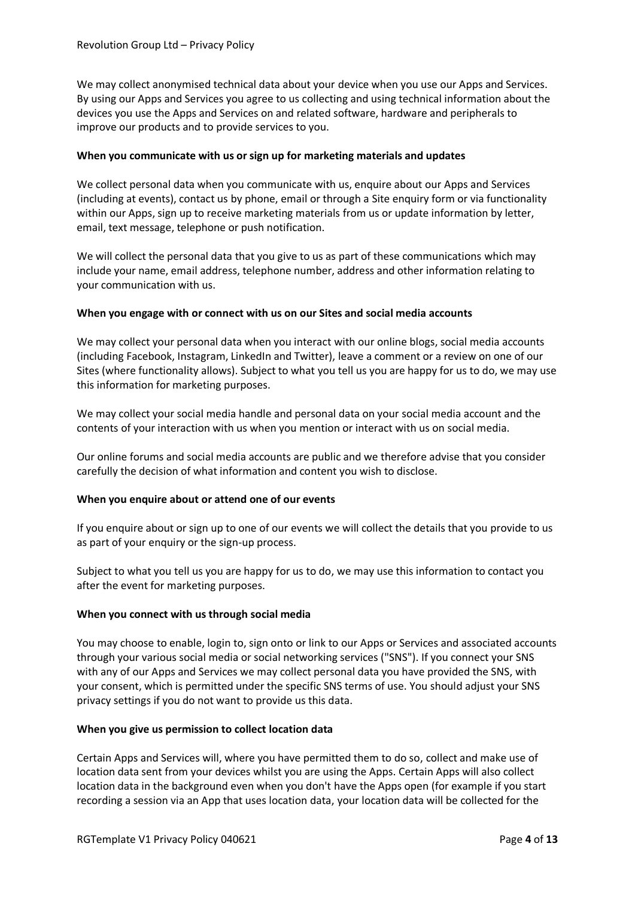We may collect anonymised technical data about your device when you use our Apps and Services. By using our Apps and Services you agree to us collecting and using technical information about the devices you use the Apps and Services on and related software, hardware and peripherals to improve our products and to provide services to you.

# **When you communicate with us or sign up for marketing materials and updates**

We collect personal data when you communicate with us, enquire about our Apps and Services (including at events), contact us by phone, email or through a Site enquiry form or via functionality within our Apps, sign up to receive marketing materials from us or update information by letter, email, text message, telephone or push notification.

We will collect the personal data that you give to us as part of these communications which may include your name, email address, telephone number, address and other information relating to your communication with us.

### **When you engage with or connect with us on our Sites and social media accounts**

We may collect your personal data when you interact with our online blogs, social media accounts (including Facebook, Instagram, LinkedIn and Twitter), leave a comment or a review on one of our Sites (where functionality allows). Subject to what you tell us you are happy for us to do, we may use this information for marketing purposes.

We may collect your social media handle and personal data on your social media account and the contents of your interaction with us when you mention or interact with us on social media.

Our online forums and social media accounts are public and we therefore advise that you consider carefully the decision of what information and content you wish to disclose.

#### **When you enquire about or attend one of our events**

If you enquire about or sign up to one of our events we will collect the details that you provide to us as part of your enquiry or the sign-up process.

Subject to what you tell us you are happy for us to do, we may use this information to contact you after the event for marketing purposes.

#### **When you connect with us through social media**

You may choose to enable, login to, sign onto or link to our Apps or Services and associated accounts through your various social media or social networking services ("SNS"). If you connect your SNS with any of our Apps and Services we may collect personal data you have provided the SNS, with your consent, which is permitted under the specific SNS terms of use. You should adjust your SNS privacy settings if you do not want to provide us this data.

#### **When you give us permission to collect location data**

Certain Apps and Services will, where you have permitted them to do so, collect and make use of location data sent from your devices whilst you are using the Apps. Certain Apps will also collect location data in the background even when you don't have the Apps open (for example if you start recording a session via an App that uses location data, your location data will be collected for the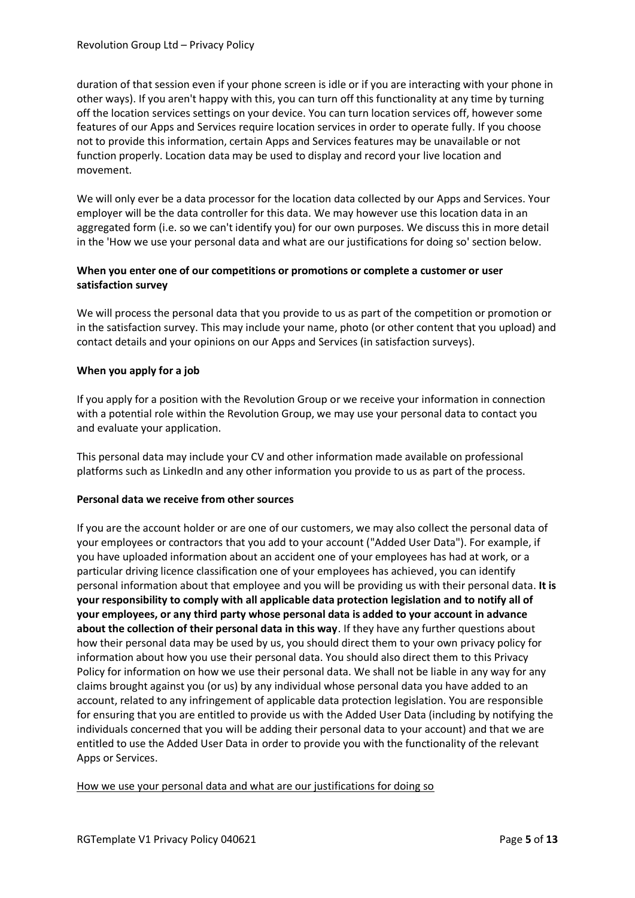duration of that session even if your phone screen is idle or if you are interacting with your phone in other ways). If you aren't happy with this, you can turn off this functionality at any time by turning off the location services settings on your device. You can turn location services off, however some features of our Apps and Services require location services in order to operate fully. If you choose not to provide this information, certain Apps and Services features may be unavailable or not function properly. Location data may be used to display and record your live location and movement.

We will only ever be a data processor for the location data collected by our Apps and Services. Your employer will be the data controller for this data. We may however use this location data in an aggregated form (i.e. so we can't identify you) for our own purposes. We discuss this in more detail in the 'How we use your personal data and what are our justifications for doing so' section below.

# **When you enter one of our competitions or promotions or complete a customer or user satisfaction survey**

We will process the personal data that you provide to us as part of the competition or promotion or in the satisfaction survey. This may include your name, photo (or other content that you upload) and contact details and your opinions on our Apps and Services (in satisfaction surveys).

# **When you apply for a job**

If you apply for a position with the Revolution Group or we receive your information in connection with a potential role within the Revolution Group, we may use your personal data to contact you and evaluate your application.

This personal data may include your CV and other information made available on professional platforms such as LinkedIn and any other information you provide to us as part of the process.

# **Personal data we receive from other sources**

If you are the account holder or are one of our customers, we may also collect the personal data of your employees or contractors that you add to your account ("Added User Data"). For example, if you have uploaded information about an accident one of your employees has had at work, or a particular driving licence classification one of your employees has achieved, you can identify personal information about that employee and you will be providing us with their personal data. **It is your responsibility to comply with all applicable data protection legislation and to notify all of your employees, or any third party whose personal data is added to your account in advance about the collection of their personal data in this way**. If they have any further questions about how their personal data may be used by us, you should direct them to your own privacy policy for information about how you use their personal data. You should also direct them to this Privacy Policy for information on how we use their personal data. We shall not be liable in any way for any claims brought against you (or us) by any individual whose personal data you have added to an account, related to any infringement of applicable data protection legislation. You are responsible for ensuring that you are entitled to provide us with the Added User Data (including by notifying the individuals concerned that you will be adding their personal data to your account) and that we are entitled to use the Added User Data in order to provide you with the functionality of the relevant Apps or Services.

How we use your personal data and what are our justifications for doing so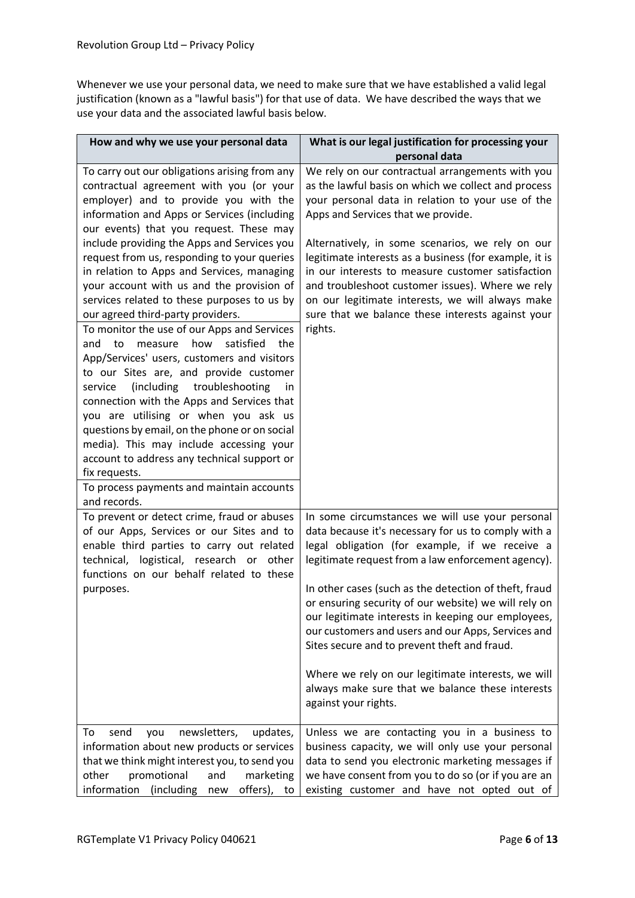Whenever we use your personal data, we need to make sure that we have established a valid legal justification (known as a "lawful basis") for that use of data. We have described the ways that we use your data and the associated lawful basis below.

| How and why we use your personal data                                                                                                                                                                                                                                                                                                                                                                                                                                                                                                                                                                                                                                                                                                                                                                                                                                                                                                                                                                                                                    | What is our legal justification for processing your                                                                                                                                                                                                                                                                                                                                                                                                                                                                                                                                                                           |
|----------------------------------------------------------------------------------------------------------------------------------------------------------------------------------------------------------------------------------------------------------------------------------------------------------------------------------------------------------------------------------------------------------------------------------------------------------------------------------------------------------------------------------------------------------------------------------------------------------------------------------------------------------------------------------------------------------------------------------------------------------------------------------------------------------------------------------------------------------------------------------------------------------------------------------------------------------------------------------------------------------------------------------------------------------|-------------------------------------------------------------------------------------------------------------------------------------------------------------------------------------------------------------------------------------------------------------------------------------------------------------------------------------------------------------------------------------------------------------------------------------------------------------------------------------------------------------------------------------------------------------------------------------------------------------------------------|
|                                                                                                                                                                                                                                                                                                                                                                                                                                                                                                                                                                                                                                                                                                                                                                                                                                                                                                                                                                                                                                                          | personal data                                                                                                                                                                                                                                                                                                                                                                                                                                                                                                                                                                                                                 |
| To carry out our obligations arising from any<br>contractual agreement with you (or your<br>employer) and to provide you with the<br>information and Apps or Services (including<br>our events) that you request. These may<br>include providing the Apps and Services you<br>request from us, responding to your queries<br>in relation to Apps and Services, managing<br>your account with us and the provision of<br>services related to these purposes to us by<br>our agreed third-party providers.<br>To monitor the use of our Apps and Services<br>measure how satisfied the<br>to<br>and<br>App/Services' users, customers and visitors<br>to our Sites are, and provide customer<br>(including troubleshooting<br>service<br>in<br>connection with the Apps and Services that<br>you are utilising or when you ask us<br>questions by email, on the phone or on social<br>media). This may include accessing your<br>account to address any technical support or<br>fix requests.<br>To process payments and maintain accounts<br>and records. | We rely on our contractual arrangements with you<br>as the lawful basis on which we collect and process<br>your personal data in relation to your use of the<br>Apps and Services that we provide.<br>Alternatively, in some scenarios, we rely on our<br>legitimate interests as a business (for example, it is<br>in our interests to measure customer satisfaction<br>and troubleshoot customer issues). Where we rely<br>on our legitimate interests, we will always make<br>sure that we balance these interests against your<br>rights.                                                                                 |
| To prevent or detect crime, fraud or abuses<br>of our Apps, Services or our Sites and to<br>enable third parties to carry out related<br>technical, logistical, research or other<br>functions on our behalf related to these<br>purposes.                                                                                                                                                                                                                                                                                                                                                                                                                                                                                                                                                                                                                                                                                                                                                                                                               | In some circumstances we will use your personal<br>data because it's necessary for us to comply with a<br>legal obligation (for example, if we receive a<br>legitimate request from a law enforcement agency).<br>In other cases (such as the detection of theft, fraud<br>or ensuring security of our website) we will rely on<br>our legitimate interests in keeping our employees,<br>our customers and users and our Apps, Services and<br>Sites secure and to prevent theft and fraud.<br>Where we rely on our legitimate interests, we will<br>always make sure that we balance these interests<br>against your rights. |
| To<br>newsletters,<br>send<br>you<br>updates,<br>information about new products or services<br>that we think might interest you, to send you<br>other<br>promotional<br>and<br>marketing<br>information (including<br>offers), to<br>new                                                                                                                                                                                                                                                                                                                                                                                                                                                                                                                                                                                                                                                                                                                                                                                                                 | Unless we are contacting you in a business to<br>business capacity, we will only use your personal<br>data to send you electronic marketing messages if<br>we have consent from you to do so (or if you are an<br>existing customer and have not opted out of                                                                                                                                                                                                                                                                                                                                                                 |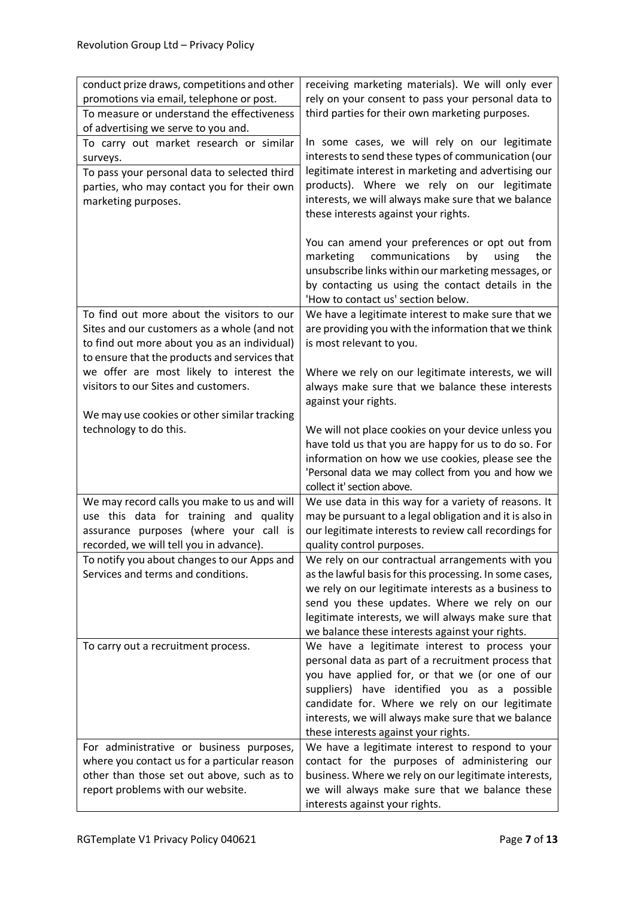| conduct prize draws, competitions and other<br>promotions via email, telephone or post.<br>To measure or understand the effectiveness        | receiving marketing materials). We will only ever<br>rely on your consent to pass your personal data to<br>third parties for their own marketing purposes.                                                                                                                                                                                               |
|----------------------------------------------------------------------------------------------------------------------------------------------|----------------------------------------------------------------------------------------------------------------------------------------------------------------------------------------------------------------------------------------------------------------------------------------------------------------------------------------------------------|
| of advertising we serve to you and.                                                                                                          |                                                                                                                                                                                                                                                                                                                                                          |
| To carry out market research or similar<br>surveys.                                                                                          | In some cases, we will rely on our legitimate<br>interests to send these types of communication (our                                                                                                                                                                                                                                                     |
| To pass your personal data to selected third<br>parties, who may contact you for their own<br>marketing purposes.                            | legitimate interest in marketing and advertising our<br>products). Where we rely on our legitimate<br>interests, we will always make sure that we balance<br>these interests against your rights.                                                                                                                                                        |
|                                                                                                                                              | You can amend your preferences or opt out from<br>communications<br>marketing<br>by<br>using<br>the<br>unsubscribe links within our marketing messages, or<br>by contacting us using the contact details in the<br>'How to contact us' section below.                                                                                                    |
| To find out more about the visitors to our                                                                                                   | We have a legitimate interest to make sure that we                                                                                                                                                                                                                                                                                                       |
| Sites and our customers as a whole (and not<br>to find out more about you as an individual)<br>to ensure that the products and services that | are providing you with the information that we think<br>is most relevant to you.                                                                                                                                                                                                                                                                         |
| we offer are most likely to interest the<br>visitors to our Sites and customers.<br>We may use cookies or other similar tracking             | Where we rely on our legitimate interests, we will<br>always make sure that we balance these interests<br>against your rights.                                                                                                                                                                                                                           |
| technology to do this.                                                                                                                       | We will not place cookies on your device unless you                                                                                                                                                                                                                                                                                                      |
|                                                                                                                                              | have told us that you are happy for us to do so. For                                                                                                                                                                                                                                                                                                     |
|                                                                                                                                              | information on how we use cookies, please see the<br>'Personal data we may collect from you and how we                                                                                                                                                                                                                                                   |
| We may record calls you make to us and will                                                                                                  | collect it' section above.<br>We use data in this way for a variety of reasons. It                                                                                                                                                                                                                                                                       |
| use this data for training and quality<br>assurance purposes (where your call is<br>recorded, we will tell you in advance).                  | may be pursuant to a legal obligation and it is also in<br>our legitimate interests to review call recordings for<br>quality control purposes.                                                                                                                                                                                                           |
| To notify you about changes to our Apps and                                                                                                  | We rely on our contractual arrangements with you                                                                                                                                                                                                                                                                                                         |
| Services and terms and conditions.                                                                                                           | as the lawful basis for this processing. In some cases,<br>we rely on our legitimate interests as a business to<br>send you these updates. Where we rely on our<br>legitimate interests, we will always make sure that<br>we balance these interests against your rights.                                                                                |
| To carry out a recruitment process.                                                                                                          | We have a legitimate interest to process your<br>personal data as part of a recruitment process that<br>you have applied for, or that we (or one of our<br>suppliers) have identified you as a possible<br>candidate for. Where we rely on our legitimate<br>interests, we will always make sure that we balance<br>these interests against your rights. |
| For administrative or business purposes,                                                                                                     | We have a legitimate interest to respond to your                                                                                                                                                                                                                                                                                                         |
| where you contact us for a particular reason                                                                                                 | contact for the purposes of administering our                                                                                                                                                                                                                                                                                                            |
| other than those set out above, such as to                                                                                                   | business. Where we rely on our legitimate interests,                                                                                                                                                                                                                                                                                                     |
| report problems with our website.                                                                                                            | we will always make sure that we balance these<br>interests against your rights.                                                                                                                                                                                                                                                                         |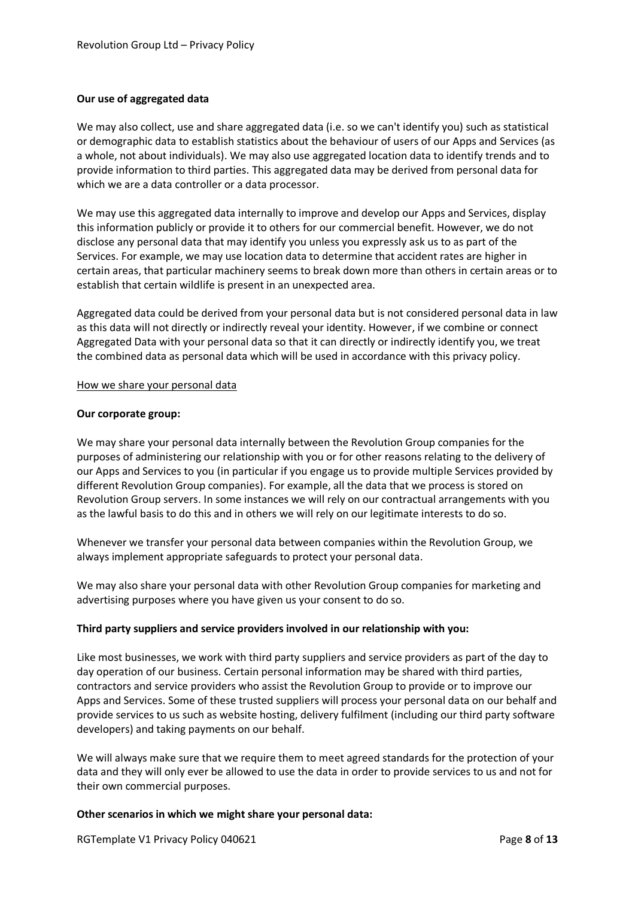# **Our use of aggregated data**

We may also collect, use and share aggregated data (i.e. so we can't identify you) such as statistical or demographic data to establish statistics about the behaviour of users of our Apps and Services (as a whole, not about individuals). We may also use aggregated location data to identify trends and to provide information to third parties. This aggregated data may be derived from personal data for which we are a data controller or a data processor.

We may use this aggregated data internally to improve and develop our Apps and Services, display this information publicly or provide it to others for our commercial benefit. However, we do not disclose any personal data that may identify you unless you expressly ask us to as part of the Services. For example, we may use location data to determine that accident rates are higher in certain areas, that particular machinery seems to break down more than others in certain areas or to establish that certain wildlife is present in an unexpected area.

Aggregated data could be derived from your personal data but is not considered personal data in law as this data will not directly or indirectly reveal your identity. However, if we combine or connect Aggregated Data with your personal data so that it can directly or indirectly identify you, we treat the combined data as personal data which will be used in accordance with this privacy policy.

#### How we share your personal data

### **Our corporate group:**

We may share your personal data internally between the Revolution Group companies for the purposes of administering our relationship with you or for other reasons relating to the delivery of our Apps and Services to you (in particular if you engage us to provide multiple Services provided by different Revolution Group companies). For example, all the data that we process is stored on Revolution Group servers. In some instances we will rely on our contractual arrangements with you as the lawful basis to do this and in others we will rely on our legitimate interests to do so.

Whenever we transfer your personal data between companies within the Revolution Group, we always implement appropriate safeguards to protect your personal data.

We may also share your personal data with other Revolution Group companies for marketing and advertising purposes where you have given us your consent to do so.

# **Third party suppliers and service providers involved in our relationship with you:**

Like most businesses, we work with third party suppliers and service providers as part of the day to day operation of our business. Certain personal information may be shared with third parties, contractors and service providers who assist the Revolution Group to provide or to improve our Apps and Services. Some of these trusted suppliers will process your personal data on our behalf and provide services to us such as website hosting, delivery fulfilment (including our third party software developers) and taking payments on our behalf.

We will always make sure that we require them to meet agreed standards for the protection of your data and they will only ever be allowed to use the data in order to provide services to us and not for their own commercial purposes.

#### **Other scenarios in which we might share your personal data:**

RGTemplate V1 Privacy Policy 040621 **Page 8** of 13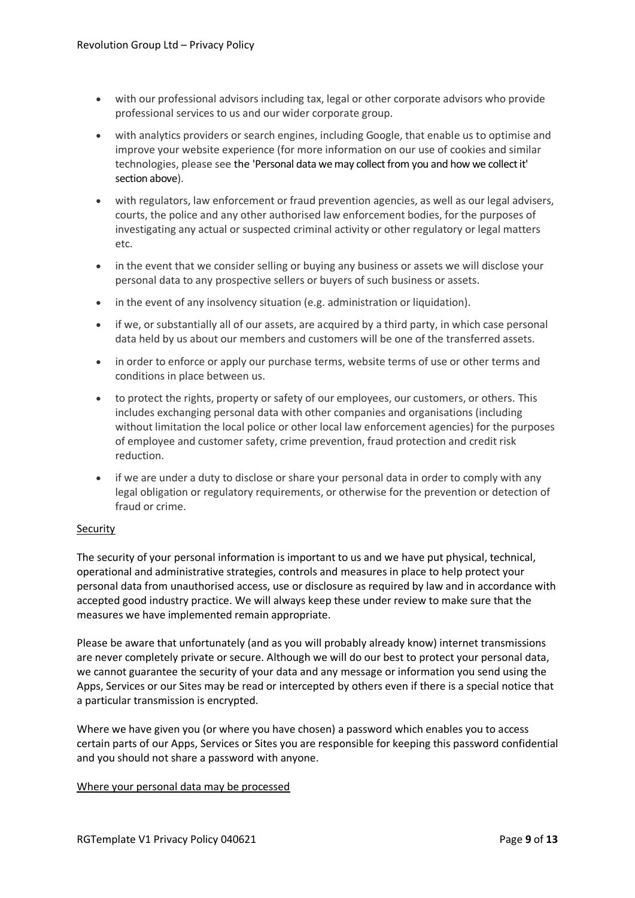- with our professional advisors including tax, legal or other corporate advisors who provide professional services to us and our wider corporate group.
- with analytics providers or search engines, including Google, that enable us to optimise and improve your website experience (for more information on our use of cookies and similar technologies, please see the 'Personal data we may collect from you and how we collect it' section above).
- with regulators, law enforcement or fraud prevention agencies, as well as our legal advisers, courts, the police and any other authorised law enforcement bodies, for the purposes of investigating any actual or suspected criminal activity or other regulatory or legal matters etc.
- in the event that we consider selling or buying any business or assets we will disclose your personal data to any prospective sellers or buyers of such business or assets.
- in the event of any insolvency situation (e.g. administration or liquidation).
- if we, or substantially all of our assets, are acquired by a third party, in which case personal data held by us about our members and customers will be one of the transferred assets.
- in order to enforce or apply our purchase terms, website terms of use or other terms and conditions in place between us.
- to protect the rights, property or safety of our employees, our customers, or others. This includes exchanging personal data with other companies and organisations (including without limitation the local police or other local law enforcement agencies) for the purposes of employee and customer safety, crime prevention, fraud protection and credit risk reduction.
- if we are under a duty to disclose or share your personal data in order to comply with any legal obligation or regulatory requirements, or otherwise for the prevention or detection of fraud or crime.

# **Security**

The security of your personal information is important to us and we have put physical, technical, operational and administrative strategies, controls and measures in place to help protect your personal data from unauthorised access, use or disclosure as required by law and in accordance with accepted good industry practice. We will always keep these under review to make sure that the measures we have implemented remain appropriate.

Please be aware that unfortunately (and as you will probably already know) internet transmissions are never completely private or secure. Although we will do our best to protect your personal data, we cannot guarantee the security of your data and any message or information you send using the Apps, Services or our Sites may be read or intercepted by others even if there is a special notice that a particular transmission is encrypted.

Where we have given you (or where you have chosen) a password which enables you to access certain parts of our Apps, Services or Sites you are responsible for keeping this password confidential and you should not share a password with anyone.

# Where your personal data may be processed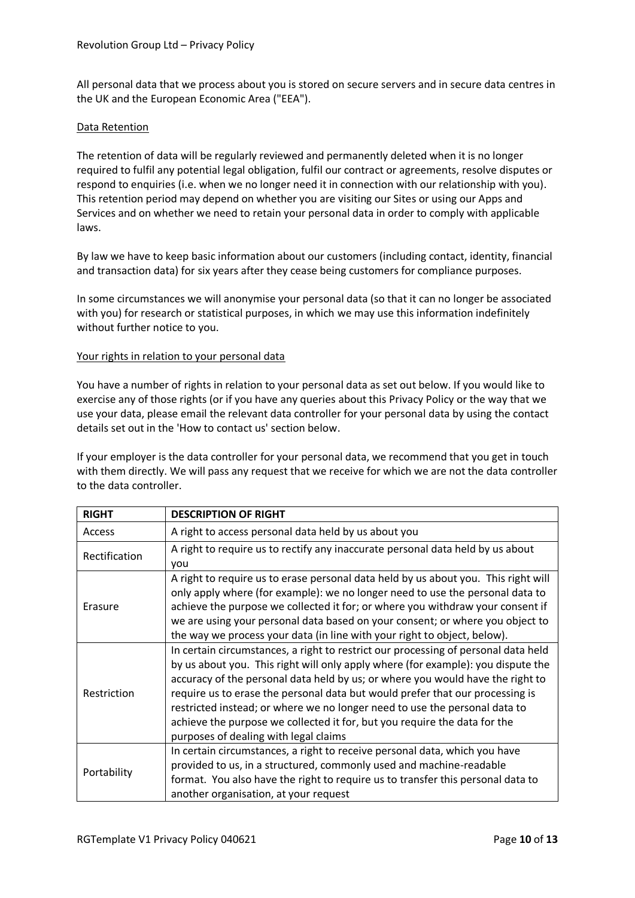All personal data that we process about you is stored on secure servers and in secure data centres in the UK and the European Economic Area ("EEA").

# Data Retention

The retention of data will be regularly reviewed and permanently deleted when it is no longer required to fulfil any potential legal obligation, fulfil our contract or agreements, resolve disputes or respond to enquiries (i.e. when we no longer need it in connection with our relationship with you). This retention period may depend on whether you are visiting our Sites or using our Apps and Services and on whether we need to retain your personal data in order to comply with applicable laws.

By law we have to keep basic information about our customers (including contact, identity, financial and transaction data) for six years after they cease being customers for compliance purposes.

In some circumstances we will anonymise your personal data (so that it can no longer be associated with you) for research or statistical purposes, in which we may use this information indefinitely without further notice to you.

### Your rights in relation to your personal data

You have a number of rights in relation to your personal data as set out below. If you would like to exercise any of those rights (or if you have any queries about this Privacy Policy or the way that we use your data, please email the relevant data controller for your personal data by using the contact details set out in the 'How to contact us' section below.

If your employer is the data controller for your personal data, we recommend that you get in touch with them directly. We will pass any request that we receive for which we are not the data controller to the data controller.

| <b>RIGHT</b>  | <b>DESCRIPTION OF RIGHT</b>                                                                                                                                                                                                                                                                                                                                                                                                                                                                                                                   |
|---------------|-----------------------------------------------------------------------------------------------------------------------------------------------------------------------------------------------------------------------------------------------------------------------------------------------------------------------------------------------------------------------------------------------------------------------------------------------------------------------------------------------------------------------------------------------|
| <b>Access</b> | A right to access personal data held by us about you                                                                                                                                                                                                                                                                                                                                                                                                                                                                                          |
| Rectification | A right to require us to rectify any inaccurate personal data held by us about<br>you                                                                                                                                                                                                                                                                                                                                                                                                                                                         |
| Erasure       | A right to require us to erase personal data held by us about you. This right will<br>only apply where (for example): we no longer need to use the personal data to<br>achieve the purpose we collected it for; or where you withdraw your consent if<br>we are using your personal data based on your consent; or where you object to<br>the way we process your data (in line with your right to object, below).                                                                                                                            |
| Restriction   | In certain circumstances, a right to restrict our processing of personal data held<br>by us about you. This right will only apply where (for example): you dispute the<br>accuracy of the personal data held by us; or where you would have the right to<br>require us to erase the personal data but would prefer that our processing is<br>restricted instead; or where we no longer need to use the personal data to<br>achieve the purpose we collected it for, but you require the data for the<br>purposes of dealing with legal claims |
| Portability   | In certain circumstances, a right to receive personal data, which you have<br>provided to us, in a structured, commonly used and machine-readable<br>format. You also have the right to require us to transfer this personal data to<br>another organisation, at your request                                                                                                                                                                                                                                                                 |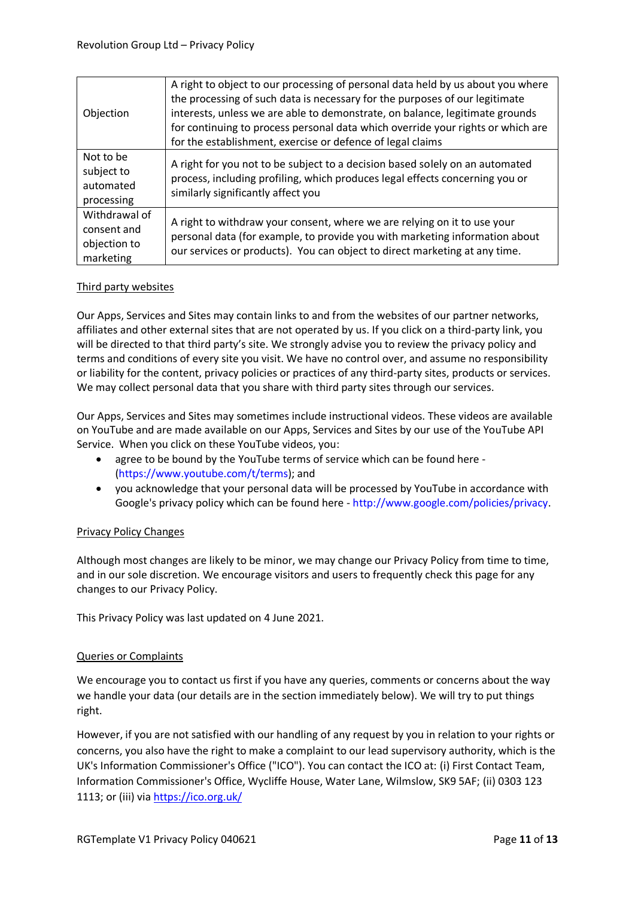| Objection                                                 | A right to object to our processing of personal data held by us about you where<br>the processing of such data is necessary for the purposes of our legitimate<br>interests, unless we are able to demonstrate, on balance, legitimate grounds<br>for continuing to process personal data which override your rights or which are<br>for the establishment, exercise or defence of legal claims |
|-----------------------------------------------------------|-------------------------------------------------------------------------------------------------------------------------------------------------------------------------------------------------------------------------------------------------------------------------------------------------------------------------------------------------------------------------------------------------|
| Not to be<br>subject to<br>automated<br>processing        | A right for you not to be subject to a decision based solely on an automated<br>process, including profiling, which produces legal effects concerning you or<br>similarly significantly affect you                                                                                                                                                                                              |
| Withdrawal of<br>consent and<br>objection to<br>marketing | A right to withdraw your consent, where we are relying on it to use your<br>personal data (for example, to provide you with marketing information about<br>our services or products). You can object to direct marketing at any time.                                                                                                                                                           |

# Third party websites

Our Apps, Services and Sites may contain links to and from the websites of our partner networks, affiliates and other external sites that are not operated by us. If you click on a third-party link, you will be directed to that third party's site. We strongly advise you to review the privacy policy and terms and conditions of every site you visit. We have no control over, and assume no responsibility or liability for the content, privacy policies or practices of any third-party sites, products or services. We may collect personal data that you share with third party sites through our services.

Our Apps, Services and Sites may sometimes include instructional videos. These videos are available on YouTube and are made available on our Apps, Services and Sites by our use of the YouTube API Service. When you click on these YouTube videos, you:

- agree to be bound by the YouTube terms of service which can be found here [\(https://www.youtube.com/t/terms\)](https://www.youtube.com/t/terms); and
- you acknowledge that your personal data will be processed by YouTube in accordance with Google's privacy policy which can be found here - [http://www.google.com/policies/privacy.](http://www.google.com/policies/privacy)

# Privacy Policy Changes

Although most changes are likely to be minor, we may change our Privacy Policy from time to time, and in our sole discretion. We encourage visitors and users to frequently check this page for any changes to our Privacy Policy.

This Privacy Policy was last updated on 4 June 2021.

# Queries or Complaints

We encourage you to contact us first if you have any queries, comments or concerns about the way we handle your data (our details are in the section immediately below). We will try to put things right.

However, if you are not satisfied with our handling of any request by you in relation to your rights or concerns, you also have the right to make a complaint to our lead supervisory authority, which is the UK's Information Commissioner's Office ("ICO"). You can contact the ICO at: (i) First Contact Team, Information Commissioner's Office, Wycliffe House, Water Lane, Wilmslow, SK9 5AF; (ii) 0303 123 1113; or (iii) via <https://ico.org.uk/>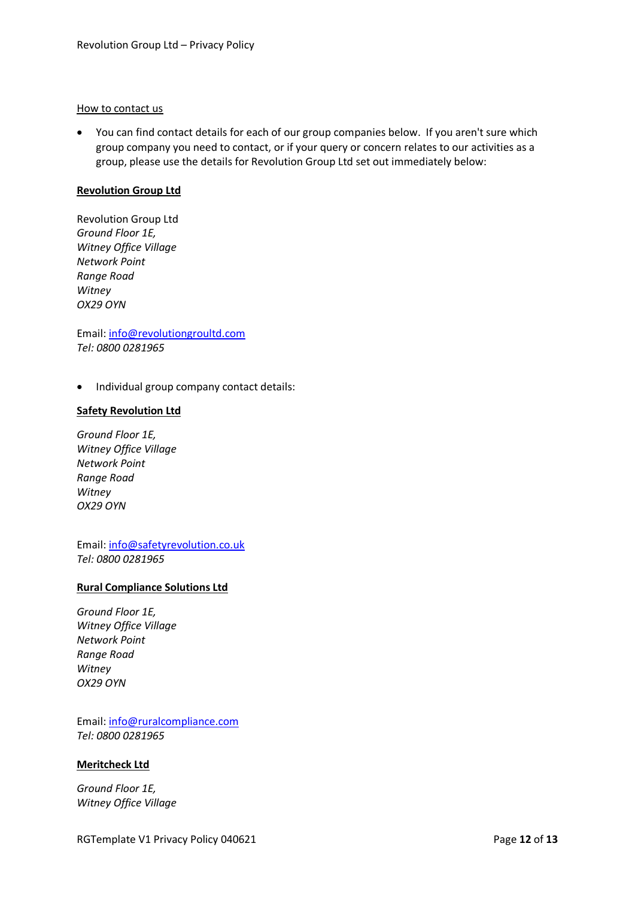#### How to contact us

• You can find contact details for each of our group companies below. If you aren't sure which group company you need to contact, or if your query or concern relates to our activities as a group, please use the details for Revolution Group Ltd set out immediately below:

### **Revolution Group Ltd**

Revolution Group Ltd *Ground Floor 1E, Witney Office Village Network Point Range Road Witney OX29 OYN*

Email: [info@revolutiongroultd.com](mailto:info@revolutiongroultd.com) *Tel: 0800 0281965*

• Individual group company contact details:

#### **Safety Revolution Ltd**

*Ground Floor 1E, Witney Office Village Network Point Range Road Witney OX29 OYN*

Email: [info@safetyrevolution.co.uk](mailto:info@safetyrevolution.co.uk) *Tel: 0800 0281965*

# **Rural Compliance Solutions Ltd**

*Ground Floor 1E, Witney Office Village Network Point Range Road Witney OX29 OYN*

Email: [info@ruralcompliance.com](mailto:info@ruralcompliance.com) *Tel: 0800 0281965*

#### **Meritcheck Ltd**

*Ground Floor 1E, Witney Office Village*